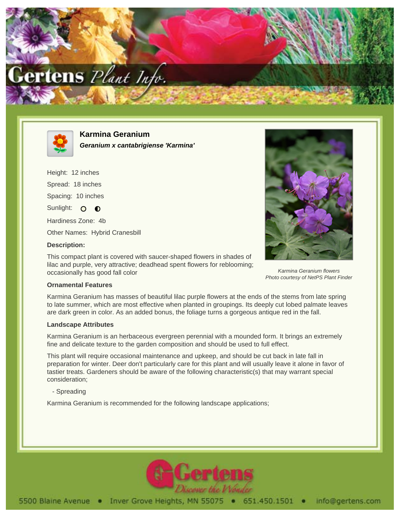



**Karmina Geranium Geranium x cantabrigiense 'Karmina'**

Height: 12 inches Spread: 18 inches Spacing: 10 inches Sunlight: O O Hardiness Zone: 4b Other Names: Hybrid Cranesbill **Description:**

This compact plant is covered with saucer-shaped flowers in shades of lilac and purple, very attractive; deadhead spent flowers for reblooming; occasionally has good fall color



Karmina Geranium flowers Photo courtesy of NetPS Plant Finder

## **Ornamental Features**

Karmina Geranium has masses of beautiful lilac purple flowers at the ends of the stems from late spring to late summer, which are most effective when planted in groupings. Its deeply cut lobed palmate leaves are dark green in color. As an added bonus, the foliage turns a gorgeous antique red in the fall.

## **Landscape Attributes**

Karmina Geranium is an herbaceous evergreen perennial with a mounded form. It brings an extremely fine and delicate texture to the garden composition and should be used to full effect.

This plant will require occasional maintenance and upkeep, and should be cut back in late fall in preparation for winter. Deer don't particularly care for this plant and will usually leave it alone in favor of tastier treats. Gardeners should be aware of the following characteristic(s) that may warrant special consideration;

- Spreading

Karmina Geranium is recommended for the following landscape applications;